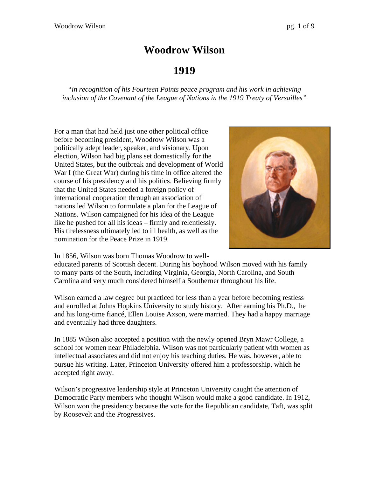# **Woodrow Wilson**

# **1919**

*"in recognition of his Fourteen Points peace program and his work in achieving inclusion of the Covenant of the League of Nations in the 1919 Treaty of Versailles"* 

For a man that had held just one other political office before becoming president, Woodrow Wilson was a politically adept leader, speaker, and visionary. Upon election, Wilson had big plans set domestically for the United States, but the outbreak and development of World War I (the Great War) during his time in office altered the course of his presidency and his politics. Believing firmly that the United States needed a foreign policy of international cooperation through an association of nations led Wilson to formulate a plan for the League of Nations. Wilson campaigned for his idea of the League like he pushed for all his ideas – firmly and relentlessly. His tirelessness ultimately led to ill health, as well as the nomination for the Peace Prize in 1919.



In 1856, Wilson was born Thomas Woodrow to well-

educated parents of Scottish decent. During his boyhood Wilson moved with his family to many parts of the South, including Virginia, Georgia, North Carolina, and South Carolina and very much considered himself a Southerner throughout his life.

Wilson earned a law degree but practiced for less than a year before becoming restless and enrolled at Johns Hopkins University to study history. After earning his Ph.D., he and his long-time fiancé, Ellen Louise Axson, were married. They had a happy marriage and eventually had three daughters.

In 1885 Wilson also accepted a position with the newly opened Bryn Mawr College, a school for women near Philadelphia. Wilson was not particularly patient with women as intellectual associates and did not enjoy his teaching duties. He was, however, able to pursue his writing. Later, Princeton University offered him a professorship, which he accepted right away.

Wilson's progressive leadership style at Princeton University caught the attention of Democratic Party members who thought Wilson would make a good candidate. In 1912, Wilson won the presidency because the vote for the Republican candidate, Taft, was split by Roosevelt and the Progressives.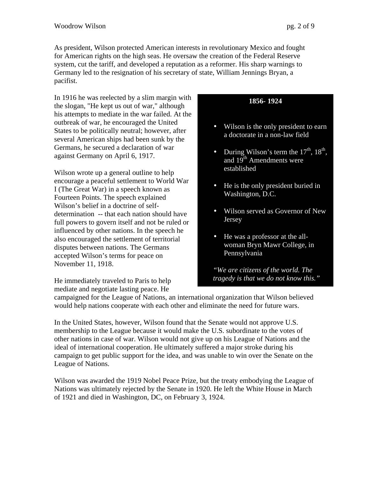As president, Wilson protected American interests in revolutionary Mexico and fought for American rights on the high seas. He oversaw the creation of the Federal Reserve system, cut the tariff, and developed a reputation as a reformer. His sharp warnings to Germany led to the resignation of his secretary of state, William Jennings Bryan, a pacifist.

In 1916 he was reelected by a slim margin with the slogan, "He kept us out of war," although his attempts to mediate in the war failed. At the outbreak of war, he encouraged the United States to be politically neutral; however, after several American ships had been sunk by the Germans, he secured a declaration of war against Germany on April 6, 1917.

Wilson wrote up a general outline to help encourage a peaceful settlement to World War I (The Great War) in a speech known as Fourteen Points. The speech explained Wilson's belief in a doctrine of selfdetermination -- that each nation should have full powers to govern itself and not be ruled or influenced by other nations. In the speech he also encouraged the settlement of territorial disputes between nations. The Germans accepted Wilson's terms for peace on November 11, 1918.

He immediately traveled to Paris to help mediate and negotiate lasting peace. He

# **1856- 1924**

- Wilson is the only president to earn a doctorate in a non-law field
- During Wilson's term the  $17<sup>th</sup>$ ,  $18<sup>th</sup>$ , and 19<sup>th</sup> Amendments were established
- He is the only president buried in Washington, D.C.
- Wilson served as Governor of New Jersey
- He was a professor at the allwoman Bryn Mawr College, in Pennsylvania

*"We are citizens of the world. The tragedy is that we do not know this."* 

campaigned for the League of Nations, an international organization that Wilson believed would help nations cooperate with each other and eliminate the need for future wars.

In the United States, however, Wilson found that the Senate would not approve U.S. membership to the League because it would make the U.S. subordinate to the votes of other nations in case of war. Wilson would not give up on his League of Nations and the ideal of international cooperation. He ultimately suffered a major stroke during his campaign to get public support for the idea, and was unable to win over the Senate on the League of Nations.

Wilson was awarded the 1919 Nobel Peace Prize, but the treaty embodying the League of Nations was ultimately rejected by the Senate in 1920. He left the White House in March of 1921 and died in Washington, DC, on February 3, 1924.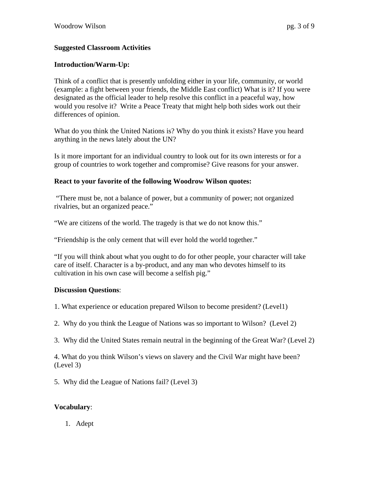# **Suggested Classroom Activities**

# **Introduction/Warm-Up:**

Think of a conflict that is presently unfolding either in your life, community, or world (example: a fight between your friends, the Middle East conflict) What is it? If you were designated as the official leader to help resolve this conflict in a peaceful way, how would you resolve it? Write a Peace Treaty that might help both sides work out their differences of opinion.

What do you think the United Nations is? Why do you think it exists? Have you heard anything in the news lately about the UN?

Is it more important for an individual country to look out for its own interests or for a group of countries to work together and compromise? Give reasons for your answer.

# **React to your favorite of the following Woodrow Wilson quotes:**

 "There must be, not a balance of power, but a community of power; not organized rivalries, but an organized peace."

"We are citizens of the world. The tragedy is that we do not know this."

"Friendship is the only cement that will ever hold the world together."

"If you will think about what you ought to do for other people, your character will take care of itself. Character is a by-product, and any man who devotes himself to its cultivation in his own case will become a selfish pig."

# **Discussion Questions**:

1. What experience or education prepared Wilson to become president? (Level1)

2. Why do you think the League of Nations was so important to Wilson? (Level 2)

3. Why did the United States remain neutral in the beginning of the Great War? (Level 2)

4. What do you think Wilson's views on slavery and the Civil War might have been? (Level 3)

5. Why did the League of Nations fail? (Level 3)

# **Vocabulary**:

1. Adept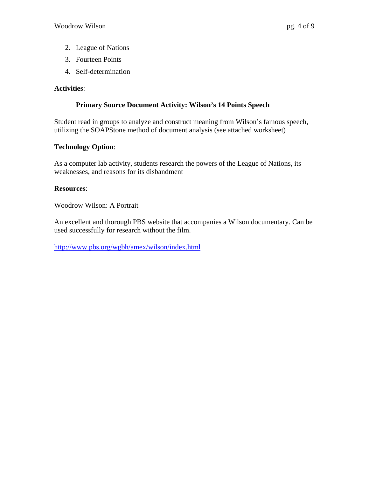- 2. League of Nations
- 3. Fourteen Points
- 4. Self-determination

# **Activities**:

# **Primary Source Document Activity: Wilson's 14 Points Speech**

Student read in groups to analyze and construct meaning from Wilson's famous speech, utilizing the SOAPStone method of document analysis (see attached worksheet)

# **Technology Option**:

As a computer lab activity, students research the powers of the League of Nations, its weaknesses, and reasons for its disbandment

# **Resources**:

Woodrow Wilson: A Portrait

An excellent and thorough PBS website that accompanies a Wilson documentary. Can be used successfully for research without the film.

http://www.pbs.org/wgbh/amex/wilson/index.html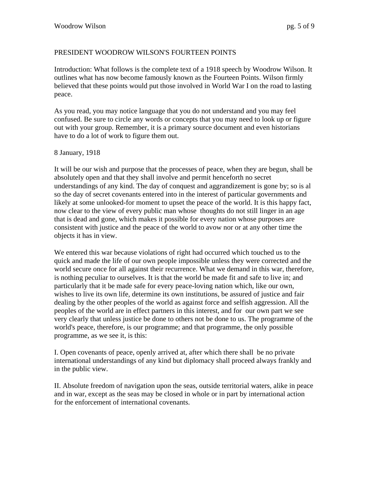# PRESIDENT WOODROW WILSON'S FOURTEEN POINTS

Introduction: What follows is the complete text of a 1918 speech by Woodrow Wilson. It outlines what has now become famously known as the Fourteen Points. Wilson firmly believed that these points would put those involved in World War I on the road to lasting peace.

As you read, you may notice language that you do not understand and you may feel confused. Be sure to circle any words or concepts that you may need to look up or figure out with your group. Remember, it is a primary source document and even historians have to do a lot of work to figure them out.

#### 8 January, 1918

It will be our wish and purpose that the processes of peace, when they are begun, shall be absolutely open and that they shall involve and permit henceforth no secret understandings of any kind. The day of conquest and aggrandizement is gone by; so is al so the day of secret covenants entered into in the interest of particular governments and likely at some unlooked-for moment to upset the peace of the world. It is this happy fact, now clear to the view of every public man whose thoughts do not still linger in an age that is dead and gone, which makes it possible for every nation whose purposes are consistent with justice and the peace of the world to avow nor or at any other time the objects it has in view.

We entered this war because violations of right had occurred which touched us to the quick and made the life of our own people impossible unless they were corrected and the world secure once for all against their recurrence. What we demand in this war, therefore, is nothing peculiar to ourselves. It is that the world be made fit and safe to live in; and particularly that it be made safe for every peace-loving nation which, like our own, wishes to live its own life, determine its own institutions, be assured of justice and fair dealing by the other peoples of the world as against force and selfish aggression. All the peoples of the world are in effect partners in this interest, and for our own part we see very clearly that unless justice be done to others not be done to us. The programme of the world's peace, therefore, is our programme; and that programme, the only possible programme, as we see it, is this:

I. Open covenants of peace, openly arrived at, after which there shall be no private international understandings of any kind but diplomacy shall proceed always frankly and in the public view.

II. Absolute freedom of navigation upon the seas, outside territorial waters, alike in peace and in war, except as the seas may be closed in whole or in part by international action for the enforcement of international covenants.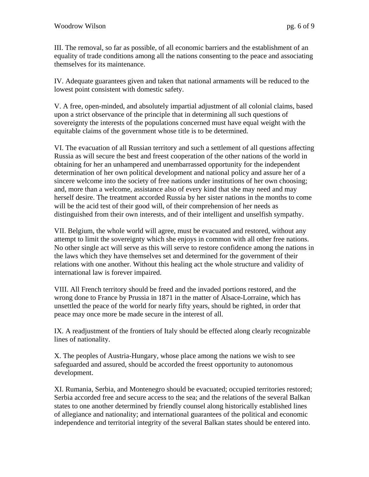III. The removal, so far as possible, of all economic barriers and the establishment of an equality of trade conditions among all the nations consenting to the peace and associating themselves for its maintenance.

IV. Adequate guarantees given and taken that national armaments will be reduced to the lowest point consistent with domestic safety.

V. A free, open-minded, and absolutely impartial adjustment of all colonial claims, based upon a strict observance of the principle that in determining all such questions of sovereignty the interests of the populations concerned must have equal weight with the equitable claims of the government whose title is to be determined.

VI. The evacuation of all Russian territory and such a settlement of all questions affecting Russia as will secure the best and freest cooperation of the other nations of the world in obtaining for her an unhampered and unembarrassed opportunity for the independent determination of her own political development and national policy and assure her of a sincere welcome into the society of free nations under institutions of her own choosing; and, more than a welcome, assistance also of every kind that she may need and may herself desire. The treatment accorded Russia by her sister nations in the months to come will be the acid test of their good will, of their comprehension of her needs as distinguished from their own interests, and of their intelligent and unselfish sympathy.

VII. Belgium, the whole world will agree, must be evacuated and restored, without any attempt to limit the sovereignty which she enjoys in common with all other free nations. No other single act will serve as this will serve to restore confidence among the nations in the laws which they have themselves set and determined for the government of their relations with one another. Without this healing act the whole structure and validity of international law is forever impaired.

VIII. All French territory should be freed and the invaded portions restored, and the wrong done to France by Prussia in 1871 in the matter of Alsace-Lorraine, which has unsettled the peace of the world for nearly fifty years, should be righted, in order that peace may once more be made secure in the interest of all.

IX. A readjustment of the frontiers of Italy should be effected along clearly recognizable lines of nationality.

X. The peoples of Austria-Hungary, whose place among the nations we wish to see safeguarded and assured, should be accorded the freest opportunity to autonomous development.

XI. Rumania, Serbia, and Montenegro should be evacuated; occupied territories restored; Serbia accorded free and secure access to the sea; and the relations of the several Balkan states to one another determined by friendly counsel along historically established lines of allegiance and nationality; and international guarantees of the political and economic independence and territorial integrity of the several Balkan states should be entered into.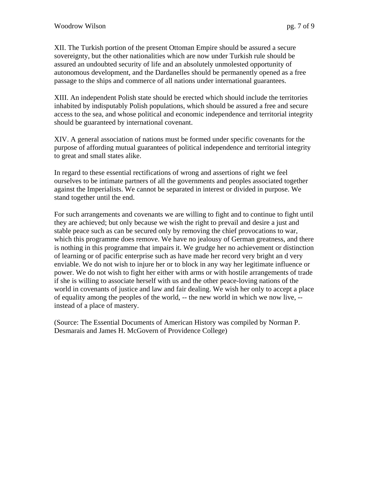XII. The Turkish portion of the present Ottoman Empire should be assured a secure sovereignty, but the other nationalities which are now under Turkish rule should be assured an undoubted security of life and an absolutely unmolested opportunity of autonomous development, and the Dardanelles should be permanently opened as a free passage to the ships and commerce of all nations under international guarantees.

XIII. An independent Polish state should be erected which should include the territories inhabited by indisputably Polish populations, which should be assured a free and secure access to the sea, and whose political and economic independence and territorial integrity should be guaranteed by international covenant.

XIV. A general association of nations must be formed under specific covenants for the purpose of affording mutual guarantees of political independence and territorial integrity to great and small states alike.

In regard to these essential rectifications of wrong and assertions of right we feel ourselves to be intimate partners of all the governments and peoples associated together against the Imperialists. We cannot be separated in interest or divided in purpose. We stand together until the end.

For such arrangements and covenants we are willing to fight and to continue to fight until they are achieved; but only because we wish the right to prevail and desire a just and stable peace such as can be secured only by removing the chief provocations to war, which this programme does remove. We have no jealousy of German greatness, and there is nothing in this programme that impairs it. We grudge her no achievement or distinction of learning or of pacific enterprise such as have made her record very bright an d very enviable. We do not wish to injure her or to block in any way her legitimate influence or power. We do not wish to fight her either with arms or with hostile arrangements of trade if she is willing to associate herself with us and the other peace-loving nations of the world in covenants of justice and law and fair dealing. We wish her only to accept a place of equality among the peoples of the world, -- the new world in which we now live, - instead of a place of mastery.

(Source: The Essential Documents of American History was compiled by Norman P. Desmarais and James H. McGovern of Providence College)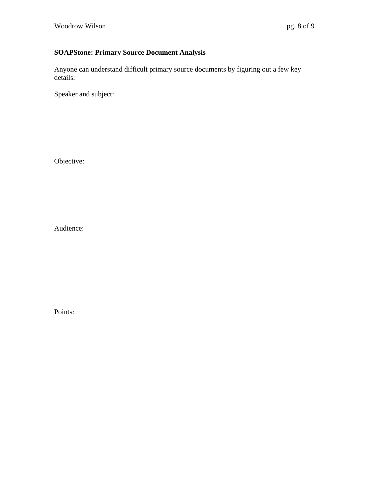# **SOAPStone: Primary Source Document Analysis**

Anyone can understand difficult primary source documents by figuring out a few key details:

Speaker and subject:

Objective:

Audience:

Points: